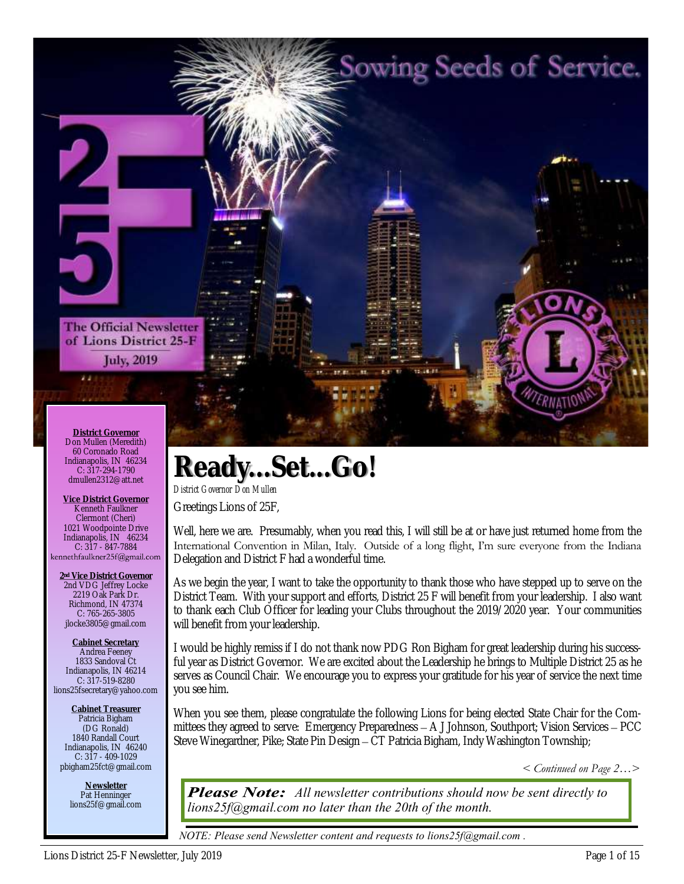# Sowing Seeds of Service.

**The Official Newsletter** of Lions District 25-F **July, 2019** 

**District Governor** Don Mullen (Meredith) 60 Coronado Road Indianapolis, IN 46234 C: 317-294-1790 dmullen2312@att.net

22

**Vice District Governor** Kenneth Faulkner Clermont (Cheri) 1021 Woodpointe Drive Indianapolis, IN 46234 C: 317 - 847-7884

**2nd Vice District Governor** 2nd VDG Jeffrey Locke 2219 Oak Park Dr. Richmond, IN 47374 C: 765-265-3805 jlocke3805@gmail.com

**Cabinet Secretary** Andrea Feeney 1833 Sandoval Ct Indianapolis, IN 46214 C: 317-519-8280 lions25fsecretary@yahoo.com

**Cabinet Treasurer** Patricia Bigham (DG Ronald) 1840 Randall Court Indianapolis, IN 46240 C: 317 - 409-1029 pbigham25fct@gmail.com

> **Newsletter** Pat Henninger lions25f@gmail.com

# **Ready...Set...Go!**

*District Governor Don Mullen* Greetings Lions of 25F,

Well, here we are. Presumably, when you read this, I will still be at or have just returned home from the International Convention in Milan, Italy. Outside of a long flight, I'm sure everyone from the Indiana Delegation and District F had a wonderful time.

As we begin the year, I want to take the opportunity to thank those who have stepped up to serve on the District Team. With your support and efforts, District 25 F will benefit from your leadership. I also want to thank each Club Officer for leading your Clubs throughout the 2019/2020 year. Your communities will benefit from your leadership.

I would be highly remiss if I do not thank now PDG Ron Bigham for great leadership during his successful year as District Governor. We are excited about the Leadership he brings to Multiple District 25 as he serves as Council Chair. We encourage you to express your gratitude for his year of service the next time you see him.

When you see them, please congratulate the following Lions for being elected State Chair for the Committees they agreed to serve: Emergency Preparedness – A J Johnson, Southport; Vision Services – PCC Steve Winegardner, Pike; State Pin Design – CT Patricia Bigham, Indy Washington Township;

*< Continued on Page 2…>* 

*Please Note:* All newsletter contributions should now be sent directly to *lions25f@gmail.com no later than the 20th of the month.*

*NOTE: Please send Newsletter content and requests to lions25f@gmail.com .*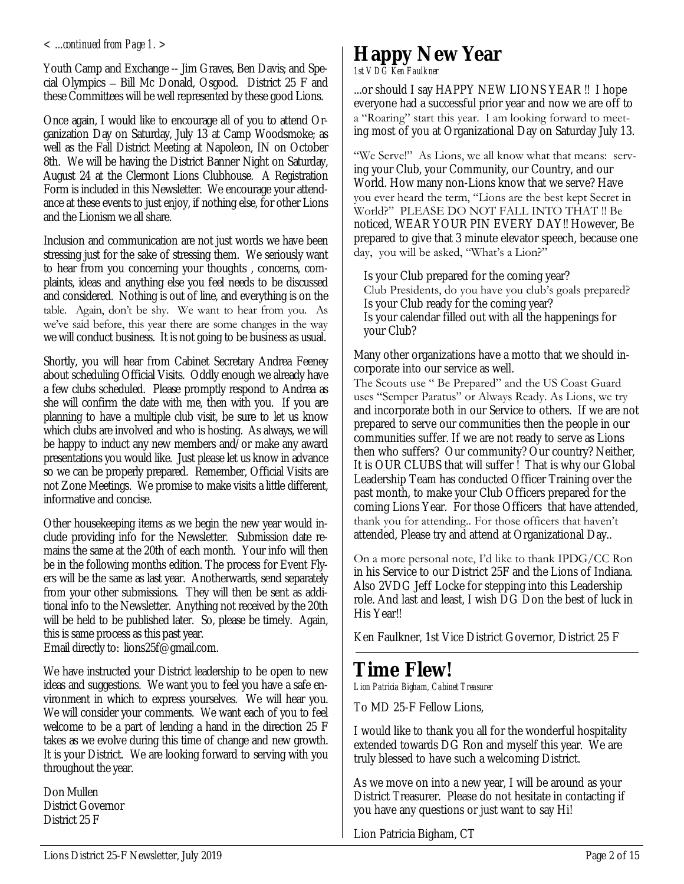Youth Camp and Exchange -- Jim Graves, Ben Davis; and Special Olympics – Bill Mc Donald, Osgood. District 25 F and these Committees will be well represented by these good Lions.

Once again, I would like to encourage all of you to attend Organization Day on Saturday, July 13 at Camp Woodsmoke; as well as the Fall District Meeting at Napoleon, IN on October 8th. We will be having the District Banner Night on Saturday, August 24 at the Clermont Lions Clubhouse. A Registration Form is included in this Newsletter. We encourage your attendance at these events to just enjoy, if nothing else, for other Lions and the Lionism we all share.

Inclusion and communication are not just words we have been stressing just for the sake of stressing them. We seriously want to hear from you concerning your thoughts , concerns, complaints, ideas and anything else you feel needs to be discussed and considered. Nothing is out of line, and everything is on the table. Again, don't be shy. We want to hear from you. As we've said before, this year there are some changes in the way we will conduct business. It is not going to be business as usual.

Shortly, you will hear from Cabinet Secretary Andrea Feeney about scheduling Official Visits. Oddly enough we already have a few clubs scheduled. Please promptly respond to Andrea as she will confirm the date with me, then with you. If you are planning to have a multiple club visit, be sure to let us know which clubs are involved and who is hosting. As always, we will be happy to induct any new members and/or make any award presentations you would like. Just please let us know in advance so we can be properly prepared. Remember, Official Visits are not Zone Meetings. We promise to make visits a little different, informative and concise.

Other housekeeping items as we begin the new year would include providing info for the Newsletter. Submission date remains the same at the 20th of each month. Your info will then be in the following months edition. The process for Event Flyers will be the same as last year. Anotherwards, send separately from your other submissions. They will then be sent as additional info to the Newsletter. Anything not received by the 20th will be held to be published later. So, please be timely. Again, this is same process as this past year.

Email directly to: lions25f@gmail.com.

We have instructed your District leadership to be open to new ideas and suggestions. We want you to feel you have a safe environment in which to express yourselves. We will hear you. We will consider your comments. We want each of you to feel welcome to be a part of lending a hand in the direction 25 F takes as we evolve during this time of change and new growth. It is your District. We are looking forward to serving with you throughout the year.

Don Mullen District Governor District 25 F

#### *< ...continued from Page 1. >* **Happy New Year** *1st VDG Ken Faulkner*

...or should I say HAPPY NEW LIONS YEAR !! I hope everyone had a successful prior year and now we are off to a "Roaring" start this year. I am looking forward to meeting most of you at Organizational Day on Saturday July 13.

"We Serve!" As Lions, we all know what that means: serving your Club, your Community, our Country, and our World. How many non-Lions know that we serve? Have you ever heard the term, "Lions are the best kept Secret in World?" PLEASE DO NOT FALL INTO THAT !! Be noticed, WEAR YOUR PIN EVERY DAY!! However, Be prepared to give that 3 minute elevator speech, because one day, you will be asked, "What's a Lion?"

Is your Club prepared for the coming year? Club Presidents, do you have you club's goals prepared? Is your Club ready for the coming year? Is your calendar filled out with all the happenings for your Club?

Many other organizations have a motto that we should incorporate into our service as well.

The Scouts use " Be Prepared" and the US Coast Guard uses "Semper Paratus" or Always Ready. As Lions, we try and incorporate both in our Service to others. If we are not prepared to serve our communities then the people in our communities suffer. If we are not ready to serve as Lions then who suffers? Our community? Our country? Neither, It is OUR CLUBS that will suffer ! That is why our Global Leadership Team has conducted Officer Training over the past month, to make your Club Officers prepared for the coming Lions Year. For those Officers that have attended, thank you for attending.. For those officers that haven't attended, Please try and attend at Organizational Day..

On a more personal note, I'd like to thank IPDG/CC Ron in his Service to our District 25F and the Lions of Indiana. Also 2VDG Jeff Locke for stepping into this Leadership role. And last and least, I wish DG Don the best of luck in His Year!!

Ken Faulkner, 1st Vice District Governor, District 25 F

# **Time Flew!**

*Lion Patricia Bigham, Cabinet Treasurer*

To MD 25-F Fellow Lions,

I would like to thank you all for the wonderful hospitality extended towards DG Ron and myself this year. We are truly blessed to have such a welcoming District.

As we move on into a new year, I will be around as your District Treasurer. Please do not hesitate in contacting if you have any questions or just want to say Hi!

Lion Patricia Bigham, CT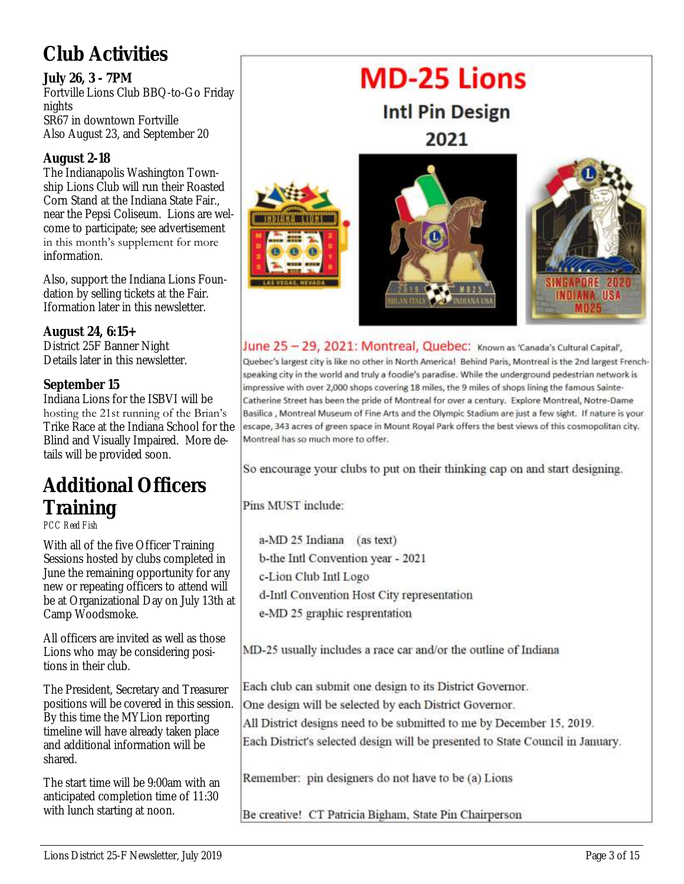# **Club Activities**

**July 26, 3 - 7PM** Fortville Lions Club BBQ -to -Go Friday nights SR67 in downtown Fortville Also August 23, and September 20

#### **August 2-18**

The Indianapolis Washington Township Lions Club will run their Roasted Corn Stand at the Indiana State Fair., near the Pepsi Coliseum. Lions are welcome to participate; see advertisement in this month's supplement for more information.

Also, support the Indiana Lions Foundation by selling tickets at the Fair. Iformation later in this newsletter.

**August 24, 6:15+** District 25F Banner Night Details later in this newsletter.

**September 15** Indiana Lions for the ISBVI will be hosting the 21st running of the Brian's Trike Race at the Indiana School for the Blind and Visually Impaired. More details will be provided soon.

# **Additional Officers Training**

*PCC Reed Fish*

With all of the five Officer Training Sessions hosted by clubs completed in June the remaining opportunity for any new or repeating officers to attend will be at Organizational Day on July 13th at Camp Woodsmoke.

All officers are invited as well as those Lions who may be considering positions in their club.

The President, Secretary and Treasurer positions will be covered in this session. By this time the MYLion reporting timeline will have already taken place and additional information will be shared.

The start time will be 9:00am with an anticipated completion time of 11:30 with lunch starting at noon.



June 25 - 29, 2021: Montreal, Quebec: Known as 'Canada's Cultural Capital', Quebec's largest city is like no other in North America! Behind Paris, Montreal is the 2nd largest Frenchspeaking city in the world and truly a foodie's paradise. While the underground pedestrian network is impressive with over 2,000 shops covering 18 miles, the 9 miles of shops lining the famous Sainte-Catherine Street has been the pride of Montreal for over a century. Explore Montreal, Notre-Dame Basilica , Montreal Museum of Fine Arts and the Olympic Stadium are just a few sight. If nature is your escape, 343 acres of green space in Mount Royal Park offers the best views of this cosmopolitan city. Montreal has so much more to offer.

So encourage your clubs to put on their thinking cap on and start designing.

Pins MUST include:

a-MD 25 Indiana (as text) b-the Intl Convention year - 2021 c-Lion Club Intl Logo d-Intl Convention Host City representation e-MD 25 graphic resprentation

MD-25 usually includes a race car and/or the outline of Indiana

Each club can submit one design to its District Governor. One design will be selected by each District Governor. All District designs need to be submitted to me by December 15, 2019. Each District's selected design will be presented to State Council in January.

Remember: pin designers do not have to be (a) Lions

Be creative! CT Patricia Bigham, State Pin Chairperson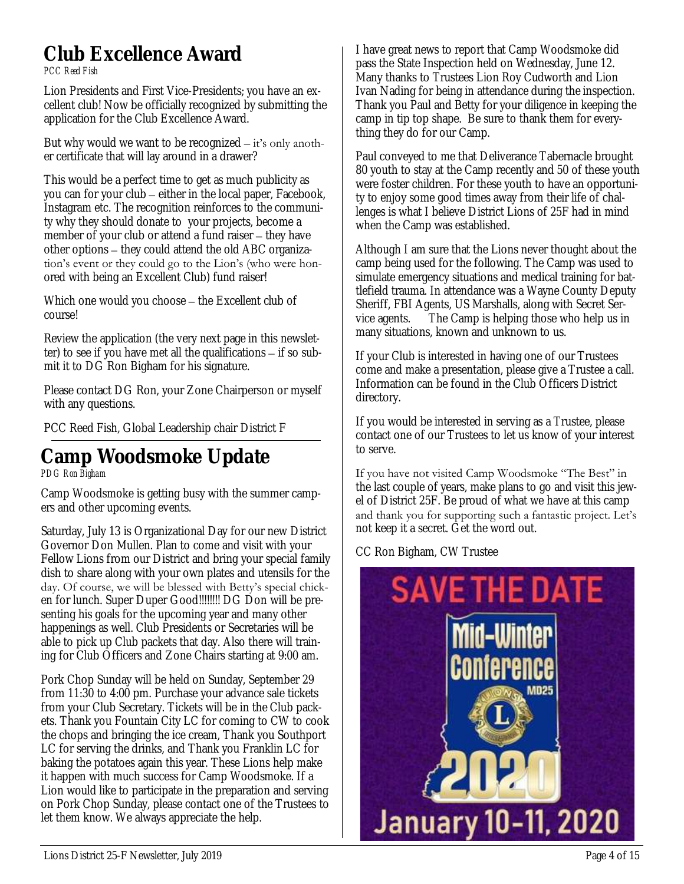#### **Club Excellence Award** *PCC Reed Fish*

Lion Presidents and First Vice-Presidents; you have an excellent club! Now be officially recognized by submitting the application for the Club Excellence Award.

But why would we want to be recognized  $-$  it's only another certificate that will lay around in a drawer?

This would be a perfect time to get as much publicity as you can for your club – either in the local paper, Facebook, Instagram etc. The recognition reinforces to the community why they should donate to your projects, become a member of your club or attend a fund raiser – they have other options – they could attend the old ABC organization's event or they could go to the Lion's (who were honored with being an Excellent Club) fund raiser!

Which one would you choose – the Excellent club of course!

Review the application (the very next page in this newsletter) to see if you have met all the qualifications – if so submit it to DG Ron Bigham for his signature.

Please contact DG Ron, your Zone Chairperson or myself with any questions.

PCC Reed Fish, Global Leadership chair District F

# **Camp Woodsmoke Update**

*PDG Ron Bigham*

Camp Woodsmoke is getting busy with the summer campers and other upcoming events.

Saturday, July 13 is Organizational Day for our new District Governor Don Mullen. Plan to come and visit with your Fellow Lions from our District and bring your special family dish to share along with your own plates and utensils for the day. Of course, we will be blessed with Betty's special chicken for lunch. Super Duper Good!!!!!!!! DG Don will be presenting his goals for the upcoming year and many other happenings as well. Club Presidents or Secretaries will be able to pick up Club packets that day. Also there will training for Club Officers and Zone Chairs starting at 9:00 am.

Pork Chop Sunday will be held on Sunday, September 29 from 11:30 to 4:00 pm. Purchase your advance sale tickets from your Club Secretary. Tickets will be in the Club packets. Thank you Fountain City LC for coming to CW to cook the chops and bringing the ice cream, Thank you Southport LC for serving the drinks, and Thank you Franklin LC for baking the potatoes again this year. These Lions help make it happen with much success for Camp Woodsmoke. If a Lion would like to participate in the preparation and serving on Pork Chop Sunday, please contact one of the Trustees to let them know. We always appreciate the help.

I have great news to report that Camp Woodsmoke did pass the State Inspection held on Wednesday, June 12. Many thanks to Trustees Lion Roy Cudworth and Lion Ivan Nading for being in attendance during the inspection. Thank you Paul and Betty for your diligence in keeping the camp in tip top shape. Be sure to thank them for everything they do for our Camp.

Paul conveyed to me that Deliverance Tabernacle brought 80 youth to stay at the Camp recently and 50 of these youth were foster children. For these youth to have an opportunity to enjoy some good times away from their life of challenges is what I believe District Lions of 25F had in mind when the Camp was established.

Although I am sure that the Lions never thought about the camp being used for the following. The Camp was used to simulate emergency situations and medical training for battlefield trauma. In attendance was a Wayne County Deputy Sheriff, FBI Agents, US Marshalls, along with Secret Service agents. The Camp is helping those who help us in many situations, known and unknown to us.

If your Club is interested in having one of our Trustees come and make a presentation, please give a Trustee a call. Information can be found in the Club Officers District directory.

If you would be interested in serving as a Trustee, please contact one of our Trustees to let us know of your interest to serve.

If you have not visited Camp Woodsmoke "The Best" in the last couple of years, make plans to go and visit this jewel of District 25F. Be proud of what we have at this camp and thank you for supporting such a fantastic project. Let's not keep it a secret. Get the word out.

CC Ron Bigham, CW Trustee

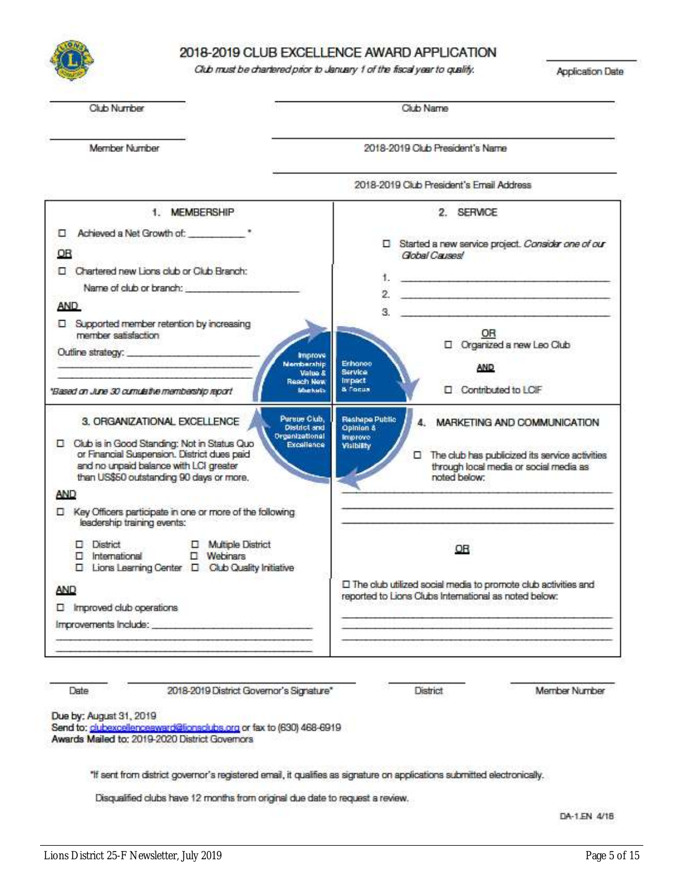

#### 2018-2019 CLUB EXCELLENCE AWARD APPLICATION

#### Club must be chartered prior to January 1 of the fiscal year to quality.

Application Date

| <b>Club Number</b>                                                                                                                                                                                                 | Club Name                                                                                                                                            |  |  |
|--------------------------------------------------------------------------------------------------------------------------------------------------------------------------------------------------------------------|------------------------------------------------------------------------------------------------------------------------------------------------------|--|--|
| Member Number                                                                                                                                                                                                      | 2018-2019 Club President's Name<br>2018-2019 Club President's Email Address                                                                          |  |  |
|                                                                                                                                                                                                                    |                                                                                                                                                      |  |  |
| 1. MEMBERSHIP                                                                                                                                                                                                      | 2. SERVICE                                                                                                                                           |  |  |
| Achieved a Net Growth of:<br>▫                                                                                                                                                                                     |                                                                                                                                                      |  |  |
| OR                                                                                                                                                                                                                 | □ Started a new service project. Consider one of our<br>Global Causes!                                                                               |  |  |
| D Chartered new Lions club or Club Branch:                                                                                                                                                                         |                                                                                                                                                      |  |  |
| Name of club or branch:                                                                                                                                                                                            | 1.<br><b>PERSONAL PROPERTY CONTRACTOR</b>                                                                                                            |  |  |
| <b>AND</b>                                                                                                                                                                                                         | 2.                                                                                                                                                   |  |  |
| D Supported member retention by increasing<br>member satisfaction                                                                                                                                                  | g.<br>OR                                                                                                                                             |  |  |
| Outline strategy:<br><b>Improve</b>                                                                                                                                                                                | D Organized a new Leo Club                                                                                                                           |  |  |
| <b>Membership</b><br>Value &                                                                                                                                                                                       | Erhanco<br><b>AND</b><br><b>Bervice</b>                                                                                                              |  |  |
| Reach New<br>Markets<br>"Based on June 30 curridative membership report                                                                                                                                            | Impact<br>Contributed to LCIF<br><b>&amp; Focus</b>                                                                                                  |  |  |
| Pursue Club.<br>3. ORGANIZATIONAL EXCELLENCE<br><b>District and</b>                                                                                                                                                | <b>Reshape Public</b><br>4. MARKETING AND COMMUNICATION<br>Opinion &                                                                                 |  |  |
| Organizational<br>D Club is in Good Standing: Not in Status Quo<br>Excellence<br>or Financial Suspension. District dues paid<br>and no unpaid balance with LCI greater<br>than US\$50 outstanding 90 days or more. | <b>Improve</b><br><b>Visibility</b><br>The club has publicized its service activities<br>п<br>through local media or social media as<br>noted below: |  |  |
| AND                                                                                                                                                                                                                |                                                                                                                                                      |  |  |
| □ Key Officers participate in one or more of the following<br>leadership training events:                                                                                                                          |                                                                                                                                                      |  |  |
| District<br>D Multiple District<br>$\square$ Webinars<br>nternational<br>□ Lions Learning Center □ Club Quality Initiative                                                                                         | OR                                                                                                                                                   |  |  |
| AND                                                                                                                                                                                                                | □ The club utilized social media to promote club activities and                                                                                      |  |  |
| $\square$ Improved club operations                                                                                                                                                                                 | reported to Lions Clubs International as noted below:                                                                                                |  |  |
| Improvements Include: entertainments and an                                                                                                                                                                        |                                                                                                                                                      |  |  |
|                                                                                                                                                                                                                    |                                                                                                                                                      |  |  |
|                                                                                                                                                                                                                    |                                                                                                                                                      |  |  |

Date

2018-2019 District Governor's Signature\*

**District** 

Member Number

Due by: August 31, 2019

Send to: clubexcellencesward@lionsclubs.org or fax to (630) 468-6919 Awards Mailed to: 2019-2020 District Governors

"If sent from district governor's registered email, it qualifies as signature on applications submitted electronically.

Disqualified clubs have 12 months from original due date to request a review.

DA-1.EN 4/18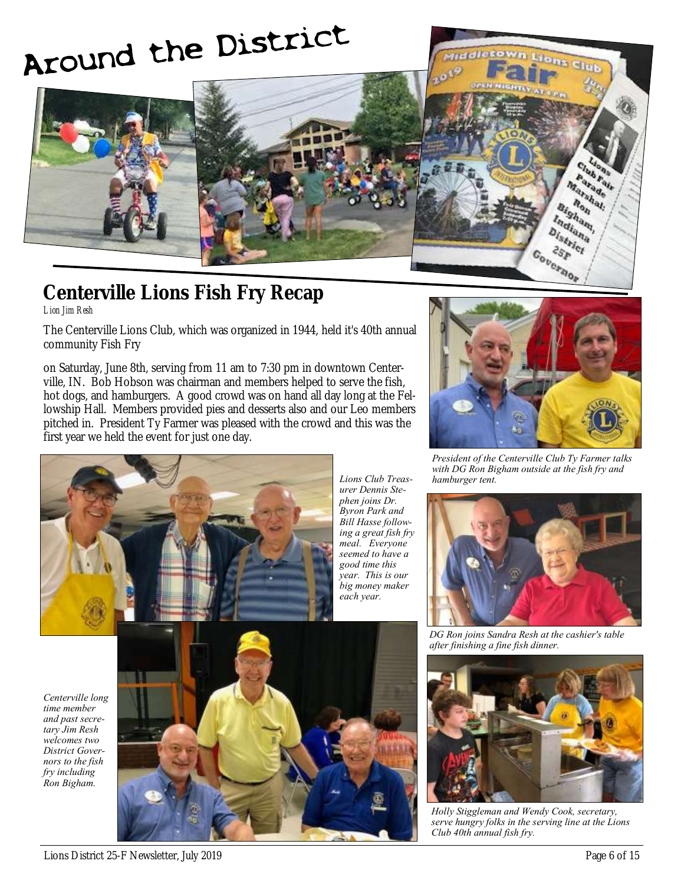# Around the District



# **Centerville Lions Fish Fry Recap**

*Lion Jim Resh*

The Centerville Lions Club, which was organized in 1944, held it's 40th annual community Fish Fry

on Saturday, June 8th, serving from 11 am to 7:30 pm in downtown Centerville, IN. Bob Hobson was chairman and members helped to serve the fish, hot dogs, and hamburgers. A good crowd was on hand all day long at the Fellowship Hall. Members provided pies and desserts also and our Leo members pitched in. President Ty Farmer was pleased with the crowd and this was the first year we held the event for just one day.



*Lions Club Treasurer Dennis Stephen joins Dr. Byron Park and Bill Hasse following a great fish fry meal. Everyone seemed to have a good time this year. This is our big money maker each year.*



Covernor  $2s_F$ 

Parade Tarade<br>Ronal: Ron Bigham, Indiana **District** 

*President of the Centerville Club Ty Farmer talks with DG Ron Bigham outside at the fish fry and hamburger tent.*



*DG Ron joins Sandra Resh at the cashier's table after finishing a fine fish dinner.*

*Centerville long time member and past secretary Jim Resh welcomes two District Governors to the fish fry including Ron Bigham.*





*Holly Stiggleman and Wendy Cook, secretary, serve hungry folks in the serving line at the Lions Club 40th annual fish fry.*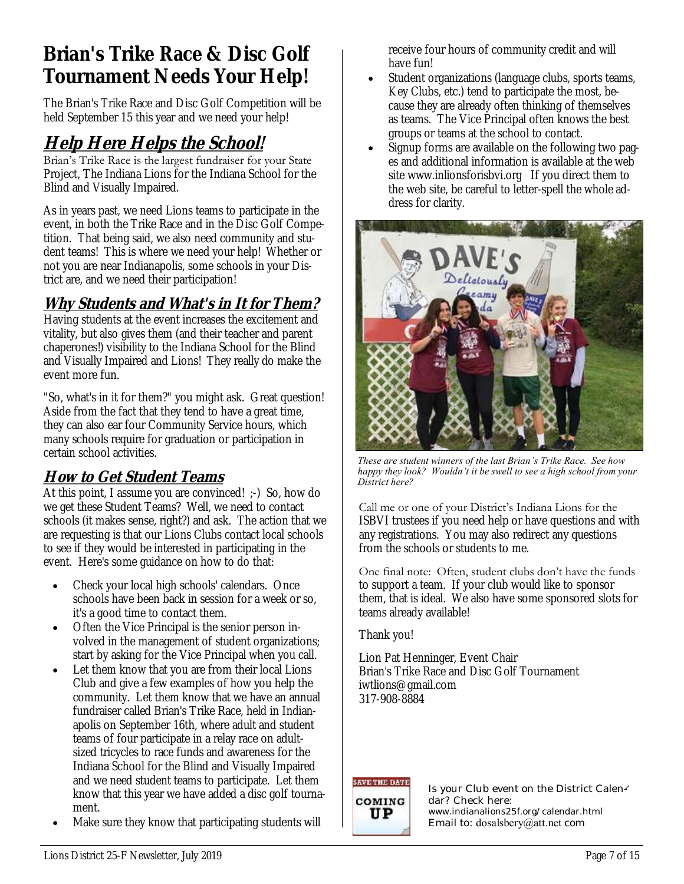# **Brian's Trike Race & Disc Golf Tournament Needs Your Help!**

The Brian's Trike Race and Disc Golf Competition will be held September 15 this year and we need your help!

# **Help Here Helps the School!**

Brian's Trike Race is the largest fundraiser for your State Project, The Indiana Lions for the Indiana School for the Blind and Visually Impaired.

As in years past, we need Lions teams to participate in the event, in both the Trike Race and in the Disc Golf Competition. That being said, we also need community and student teams! This is where we need your help! Whether or not you are near Indianapolis, some schools in your District are, and we need their participation!

#### **Why Students and What's in It for Them?**

Having students at the event increases the excitement and vitality, but also gives them (and their teacher and parent chaperones!) visibility to the Indiana School for the Blind and Visually Impaired and Lions! They really do make the event more fun.

"So, what's in it for them?" you might ask. Great question! Aside from the fact that they tend to have a great time, they can also ear four Community Service hours, which many schools require for graduation or participation in certain school activities.

#### **How to Get Student Teams**

At this point, I assume you are convinced! ;-) So, how do we get these Student Teams? Well, we need to contact schools (it makes sense, right?) and ask. The action that we are requesting is that our Lions Clubs contact local schools to see if they would be interested in participating in the event. Here's some guidance on how to do that:

- Check your local high schools' calendars. Once schools have been back in session for a week or so, it's a good time to contact them.
- Often the Vice Principal is the senior person involved in the management of student organizations; start by asking for the Vice Principal when you call.
- Let them know that you are from their local Lions Club and give a few examples of how you help the community. Let them know that we have an annual fundraiser called Brian's Trike Race, held in Indianapolis on September 16th, where adult and student teams of four participate in a relay race on adultsized tricycles to race funds and awareness for the Indiana School for the Blind and Visually Impaired and we need student teams to participate. Let them know that this year we have added a disc golf tournament.
- Make sure they know that participating students will

receive four hours of community credit and will have fun!

- Student organizations (language clubs, sports teams, Key Clubs, etc.) tend to participate the most, because they are already often thinking of themselves as teams. The Vice Principal often knows the best groups or teams at the school to contact.
- Signup forms are available on the following two pages and additional information is available at the web site www.inlionsforisbvi.org If you direct them to the web site, be careful to letter-spell the whole address for clarity.



*These are student winners of the last Brian's Trike Race. See how happy they look? Wouldn't it be swell to see a high school from your District here?*

Call me or one of your District's Indiana Lions for the ISBVI trustees if you need help or have questions and with any registrations. You may also redirect any questions from the schools or students to me.

One final note: Often, student clubs don't have the funds to support a team. If your club would like to sponsor them, that is ideal. We also have some sponsored slots for teams already available!

Thank you!

Lion Pat Henninger, Event Chair Brian's Trike Race and Disc Golf Tournament iwtlions@gmail.com 317-908-8884



Is your Club event on the District Calendar? Check here: www.indianalions25f.org/calendar.html Email to: dosalsbery@att.net com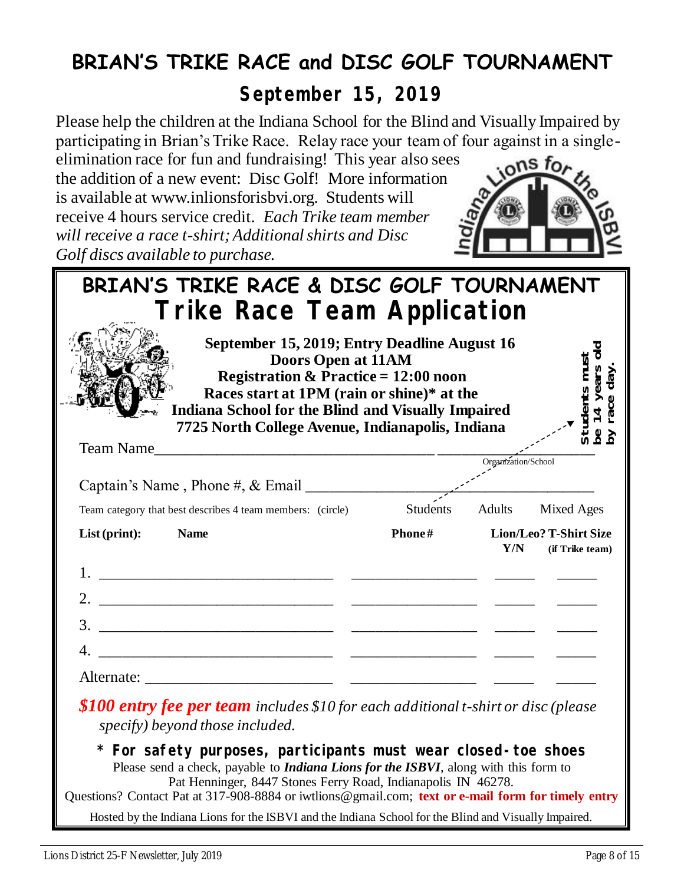# **BRIAN'S TRIKE RACE and DISC GOLF TOURNAMENT**

**September 15, 2019**

Please help the children at the Indiana School for the Blind and Visually Impaired by participating in Brian's Trike Race. Relay race your team of four against in a single-

elimination race for fun and fundraising! This year also sees the addition of a new event: Disc Golf! More information is available at www.inlionsforisbvi.org. Students will receive 4 hours service credit. *Each Trike team member will receive a race t-shirt; Additional shirts and Disc Golf discs available to purchase.*



| BRIAN'S TRIKE RACE & DISC GOLF TOURNAMENT                                                                                                                                                                                                                                                                                             |          |                     |                                           |
|---------------------------------------------------------------------------------------------------------------------------------------------------------------------------------------------------------------------------------------------------------------------------------------------------------------------------------------|----------|---------------------|-------------------------------------------|
| Trike Race Team Application                                                                                                                                                                                                                                                                                                           |          |                     |                                           |
| September 15, 2019; Entry Deadline August 16<br>Doors Open at 11AM<br><b>Registration &amp; Practice = 12:00 noon</b><br>Races start at 1PM (rain or shine)* at the<br><b>Indiana School for the Blind and Visually Impaired</b><br>7725 North College Avenue, Indianapolis, Indiana                                                  |          |                     | olo                                       |
| <b>Team Name</b><br><u> 1980 - Johann John Stone, mars eta berriamen eta biztanleria (h. 1908).</u>                                                                                                                                                                                                                                   |          |                     |                                           |
|                                                                                                                                                                                                                                                                                                                                       |          | Organization/School |                                           |
|                                                                                                                                                                                                                                                                                                                                       |          |                     |                                           |
| Team category that best describes 4 team members: (circle)                                                                                                                                                                                                                                                                            | Students |                     | Adults Mixed Ages                         |
| $List$ (print):<br><b>Name</b>                                                                                                                                                                                                                                                                                                        | Phone#   | Y/N                 | Lion/Leo? T-Shirt Size<br>(if Trike team) |
|                                                                                                                                                                                                                                                                                                                                       |          |                     |                                           |
|                                                                                                                                                                                                                                                                                                                                       |          |                     |                                           |
|                                                                                                                                                                                                                                                                                                                                       |          |                     |                                           |
|                                                                                                                                                                                                                                                                                                                                       |          |                     |                                           |
|                                                                                                                                                                                                                                                                                                                                       |          |                     |                                           |
| \$100 entry fee per team includes \$10 for each additional t-shirt or disc (please<br>specify) beyond those included.                                                                                                                                                                                                                 |          |                     |                                           |
| * For safety purposes, participants must wear closed-toe shoes<br>Please send a check, payable to <i>Indiana Lions for the ISBVI</i> , along with this form to<br>Pat Henninger, 8447 Stones Ferry Road, Indianapolis IN 46278.<br>Questions? Contact Pat at 317-908-8884 or iwtlions@gmail.com; text or e-mail form for timely entry |          |                     |                                           |
| Hosted by the Indiana Lions for the ISBVI and the Indiana School for the Blind and Visually Impaired.                                                                                                                                                                                                                                 |          |                     |                                           |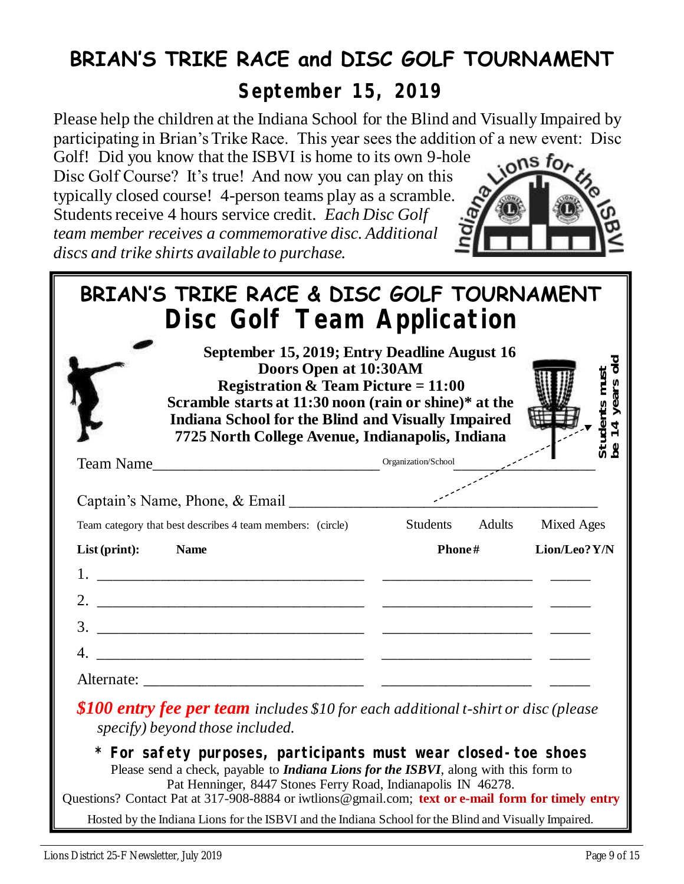# **BRIAN'S TRIKE RACE and DISC GOLF TOURNAMENT**

**September 15, 2019**

Please help the children at the Indiana School for the Blind and Visually Impaired by participating in Brian's Trike Race. This year sees the addition of a new event: Disc

Golf! Did you know that the ISBVI is home to its own 9-hole Disc Golf Course? It's true! And now you can play on this typically closed course! 4-person teams play as a scramble. Students receive 4 hours service credit. *Each Disc Golf team member receives a commemorative disc. Additional discs and trike shirts available to purchase.*



| BRIAN'S TRIKE RACE & DISC GOLF TOURNAMENT                                                                             | Disc Golf Team Application                                                                                                                                                                                                                                                                        |                     |                   |                                |
|-----------------------------------------------------------------------------------------------------------------------|---------------------------------------------------------------------------------------------------------------------------------------------------------------------------------------------------------------------------------------------------------------------------------------------------|---------------------|-------------------|--------------------------------|
|                                                                                                                       | September 15, 2019; Entry Deadline August 16<br>Doors Open at 10:30AM<br><b>Registration &amp; Team Picture = 11:00</b><br>Scramble starts at 11:30 noon (rain or shine)* at the<br><b>Indiana School for the Blind and Visually Impaired</b><br>7725 North College Avenue, Indianapolis, Indiana |                     |                   | Students musi<br>pe 14 years c |
| Team Name                                                                                                             |                                                                                                                                                                                                                                                                                                   | Organization/School |                   |                                |
| Captain's Name, Phone, & Email ______________                                                                         |                                                                                                                                                                                                                                                                                                   |                     |                   |                                |
| Team category that best describes 4 team members: (circle)                                                            |                                                                                                                                                                                                                                                                                                   | Students Adults     | <b>Mixed Ages</b> |                                |
| List (print):<br><b>Name</b>                                                                                          |                                                                                                                                                                                                                                                                                                   | Phone#              | Lion/Leo? Y/N     |                                |
|                                                                                                                       |                                                                                                                                                                                                                                                                                                   |                     |                   |                                |
|                                                                                                                       |                                                                                                                                                                                                                                                                                                   |                     |                   |                                |
|                                                                                                                       |                                                                                                                                                                                                                                                                                                   |                     |                   |                                |
|                                                                                                                       |                                                                                                                                                                                                                                                                                                   |                     |                   |                                |
|                                                                                                                       |                                                                                                                                                                                                                                                                                                   |                     |                   |                                |
| \$100 entry fee per team includes \$10 for each additional t-shirt or disc (please<br>specify) beyond those included. |                                                                                                                                                                                                                                                                                                   |                     |                   |                                |
| * For safety purposes, participants must wear closed-toe shoes                                                        |                                                                                                                                                                                                                                                                                                   |                     |                   |                                |

Please send a check, payable to *Indiana Lions for the ISBVI*, along with this form to Pat Henninger, 8447 Stones Ferry Road, Indianapolis IN 46278. Questions? Contact Pat at 317-908-8884 or iwtlions@gmail.com; **text or e-mail form for timely entry**

Hosted by the Indiana Lions for the ISBVI and the Indiana School for the Blind and Visually Impaired.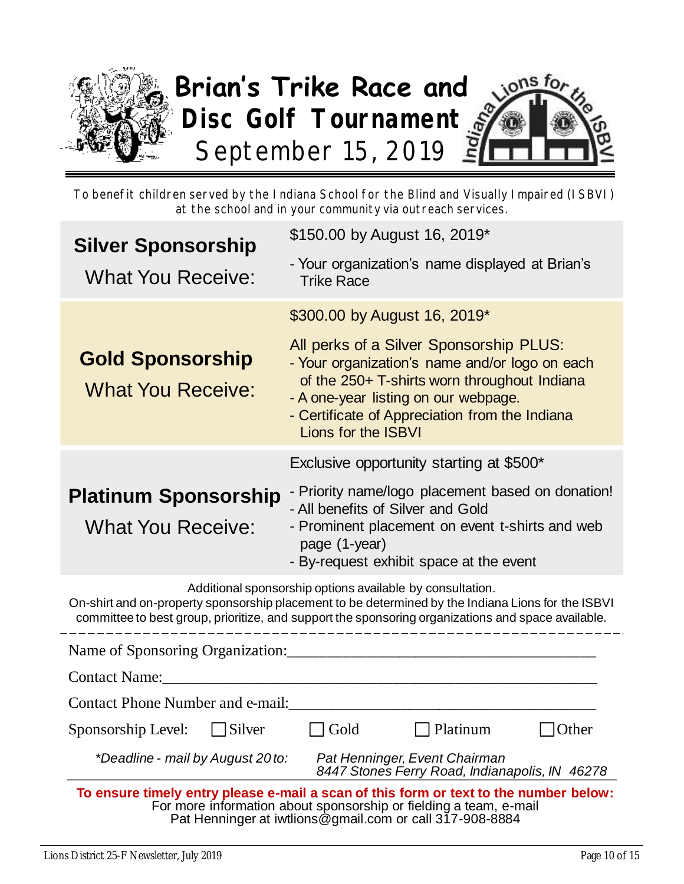

To benefit children served by the Indiana School for the Blind and Visually Impaired (ISBVI) at the school and in your community via outreach services.

| <b>Silver Sponsorship</b>                                                                                                                                                                                                                                             | \$150.00 by August 16, 2019*                                                                                                                                                                                                                               |  |  |  |
|-----------------------------------------------------------------------------------------------------------------------------------------------------------------------------------------------------------------------------------------------------------------------|------------------------------------------------------------------------------------------------------------------------------------------------------------------------------------------------------------------------------------------------------------|--|--|--|
| <b>What You Receive:</b>                                                                                                                                                                                                                                              | - Your organization's name displayed at Brian's<br><b>Trike Race</b>                                                                                                                                                                                       |  |  |  |
|                                                                                                                                                                                                                                                                       | \$300.00 by August 16, 2019*                                                                                                                                                                                                                               |  |  |  |
| <b>Gold Sponsorship</b><br><b>What You Receive:</b>                                                                                                                                                                                                                   | All perks of a Silver Sponsorship PLUS:<br>- Your organization's name and/or logo on each<br>of the 250+ T-shirts worn throughout Indiana<br>- A one-year listing on our webpage.<br>- Certificate of Appreciation from the Indiana<br>Lions for the ISBVI |  |  |  |
|                                                                                                                                                                                                                                                                       | Exclusive opportunity starting at \$500*                                                                                                                                                                                                                   |  |  |  |
| <b>Platinum Sponsorship</b><br><b>What You Receive:</b>                                                                                                                                                                                                               | - Priority name/logo placement based on donation!<br>- All benefits of Silver and Gold<br>- Prominent placement on event t-shirts and web<br>page (1-year)<br>- By-request exhibit space at the event                                                      |  |  |  |
| Additional sponsorship options available by consultation.<br>On-shirt and on-property sponsorship placement to be determined by the Indiana Lions for the ISBVI<br>committee to best group, prioritize, and support the sponsoring organizations and space available. |                                                                                                                                                                                                                                                            |  |  |  |
| Name of Sponsoring Organization:                                                                                                                                                                                                                                      |                                                                                                                                                                                                                                                            |  |  |  |
| <b>Contact Name:</b>                                                                                                                                                                                                                                                  |                                                                                                                                                                                                                                                            |  |  |  |
| <b>Contact Phone Number and e-mail:</b>                                                                                                                                                                                                                               |                                                                                                                                                                                                                                                            |  |  |  |
| Silver<br>Sponsorship Level:                                                                                                                                                                                                                                          | Other<br>Gold<br>Platinum                                                                                                                                                                                                                                  |  |  |  |
|                                                                                                                                                                                                                                                                       | *Deadline - mail by August 20 to:<br>Pat Henninger, Event Chairman<br>8447 Stones Ferry Road, Indianapolis, IN 46278                                                                                                                                       |  |  |  |
|                                                                                                                                                                                                                                                                       | To ensure timely entry please e-mail a scan of this form or text to the number below:<br>For more information about sponsorship or fielding a team, e-mail                                                                                                 |  |  |  |

Pat Henninger at iwtlions@gmail.com or call 317-908-8884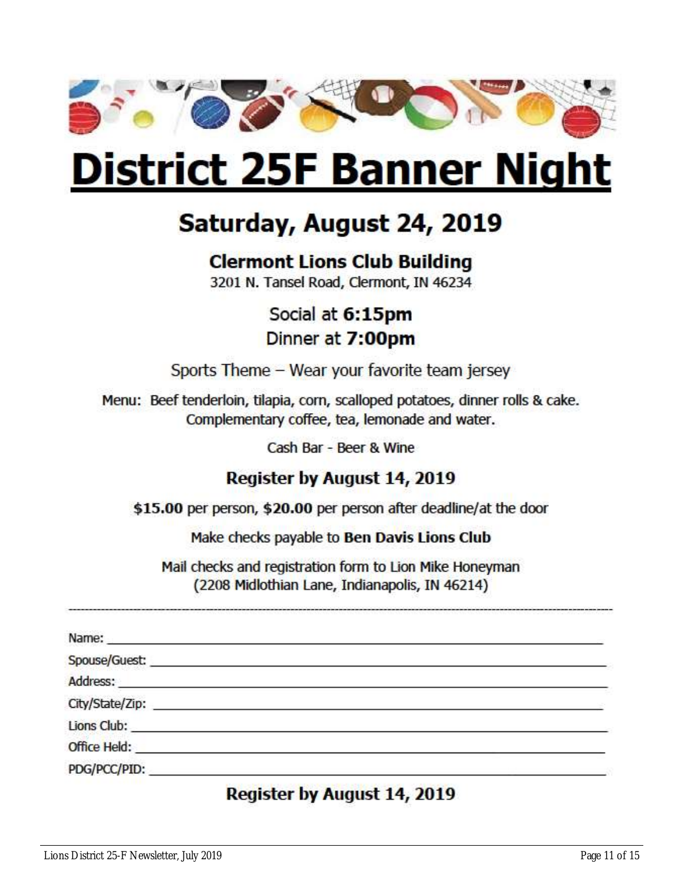

# **District 25F Banner Night**

# Saturday, August 24, 2019

# **Clermont Lions Club Building**

3201 N. Tansel Road, Clermont, IN 46234

Social at 6:15pm Dinner at 7:00pm

Sports Theme - Wear your favorite team jersey

Menu: Beef tenderloin, tilapia, corn, scalloped potatoes, dinner rolls & cake. Complementary coffee, tea, lemonade and water.

Cash Bar - Beer & Wine

# **Register by August 14, 2019**

\$15.00 per person, \$20.00 per person after deadline/at the door

Make checks payable to Ben Davis Lions Club

Mail checks and registration form to Lion Mike Honeyman (2208 Midlothian Lane, Indianapolis, IN 46214)

| Lions Club: the contract of the contract of the contract of the contract of the contract of the contract of the contract of the contract of the contract of the contract of the contract of the contract of the contract of th |  |
|--------------------------------------------------------------------------------------------------------------------------------------------------------------------------------------------------------------------------------|--|
| Office Held: <b>Example 2018</b>                                                                                                                                                                                               |  |
| PDG/PCC/PID:                                                                                                                                                                                                                   |  |

# Register by August 14, 2019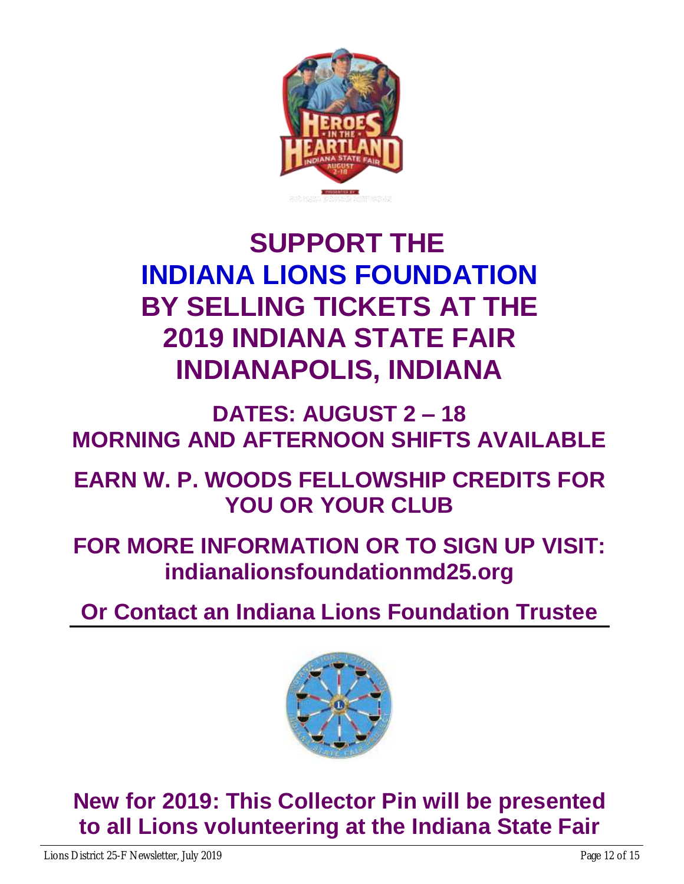

# **SUPPORT THE INDIANA LIONS FOUNDATION BY SELLING TICKETS AT THE 2019 INDIANA STATE FAIR INDIANAPOLIS, INDIANA**

**DATES: AUGUST 2 – 18 MORNING AND AFTERNOON SHIFTS AVAILABLE**

**EARN W. P. WOODS FELLOWSHIP CREDITS FOR YOU OR YOUR CLUB**

**FOR MORE INFORMATION OR TO SIGN UP VISIT: indianalionsfoundationmd25.org**

**Or Contact an Indiana Lions Foundation Trustee**



**New for 2019: This Collector Pin will be presented to all Lions volunteering at the Indiana State Fair**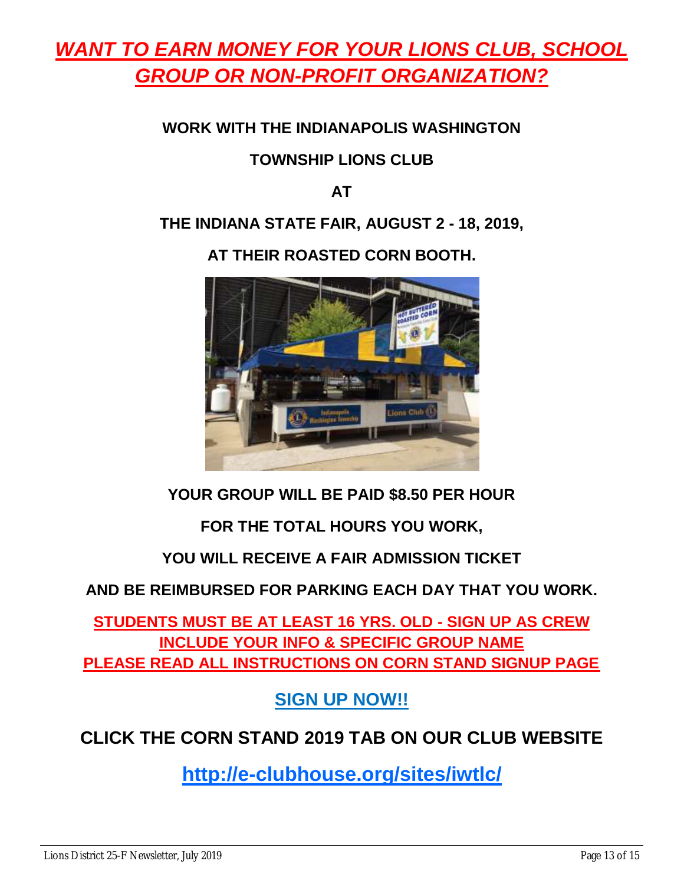# *WANT TO EARN MONEY FOR YOUR LIONS CLUB, SCHOOL GROUP OR NON-PROFIT ORGANIZATION?*

### **WORK WITH THE INDIANAPOLIS WASHINGTON**

### **TOWNSHIP LIONS CLUB**

#### **AT**

#### **THE INDIANA STATE FAIR, AUGUST 2 - 18, 2019,**

### **AT THEIR ROASTED CORN BOOTH.**



# **YOUR GROUP WILL BE PAID \$8.50 PER HOUR**

# **FOR THE TOTAL HOURS YOU WORK,**

# **YOU WILL RECEIVE A FAIR ADMISSION TICKET**

# **AND BE REIMBURSED FOR PARKING EACH DAY THAT YOU WORK.**

**STUDENTS MUST BE AT LEAST 16 YRS. OLD - SIGN UP AS CREW INCLUDE YOUR INFO & SPECIFIC GROUP NAME PLEASE READ ALL INSTRUCTIONS ON CORN STAND SIGNUP PAGE**

**SIGN UP NOW!!**

# **CLICK THE CORN STAND 2019 TAB ON OUR CLUB WEBSITE**

**http://e-clubhouse.org/sites/iwtlc/**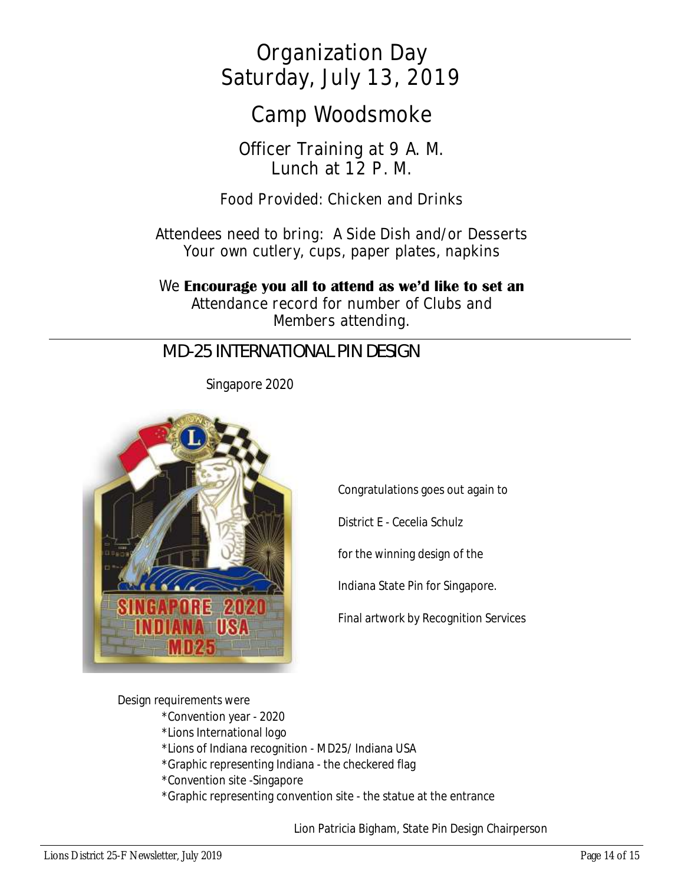**Organization Day Saturday, July 13, 2019**

**Camp Woodsmoke**

**Officer Training at 9 A. M. Lunch at 12 P. M.**

**Food Provided: Chicken and Drinks**

**Attendees need to bring: A Side Dish and/or Desserts Your own cutlery, cups, paper plates, napkins**

**We Encourage you all to attend as we'd like to set an**

**Attendance record for number of Clubs and Members attending.**

# *MD-25 INTERNATIONAL PIN DESIGN*

Singapore 2020



Congratulations goes out again to

District E - Cecelia Schulz

for the winning design of the

Indiana State Pin for Singapore.

Final artwork by Recognition Services

Design requirements were

- \*Convention year 2020
- \*Lions International logo
- \*Lions of Indiana recognition MD25/ Indiana USA
- \*Graphic representing Indiana the checkered flag
- \*Convention site -Singapore
- \*Graphic representing convention site the statue at the entrance

Lion Patricia Bigham, State Pin Design Chairperson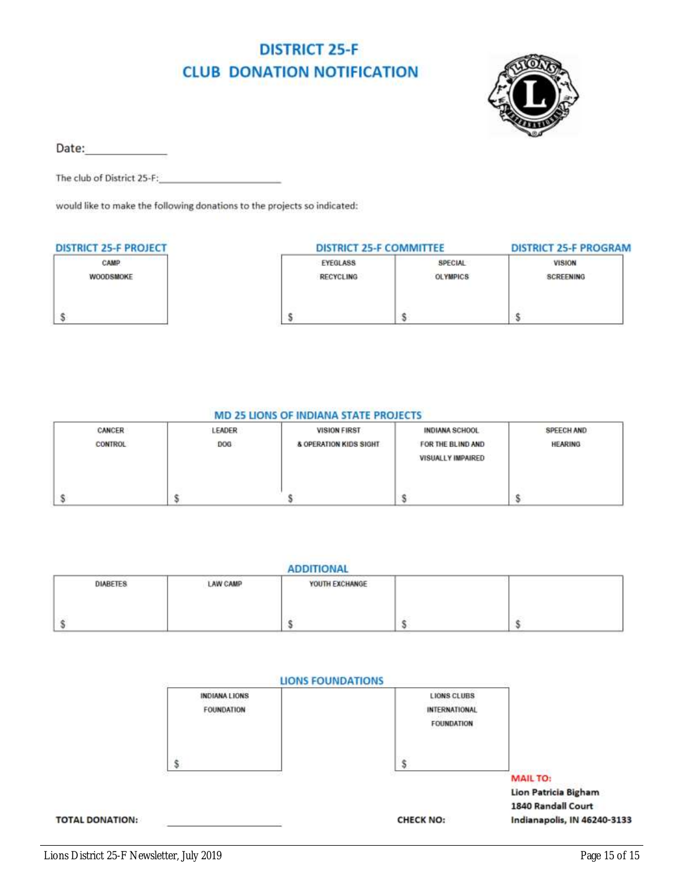# **DISTRICT 25-F CLUB DONATION NOTIFICATION**



Date:

The club of District 25-F:

would like to make the following donations to the projects so indicated:

| <b>DISTRICT 25-F PROJECT</b> | <b>DISTRICT 25-F COMMITTEE</b> | <b>DISTRICT 25-F PROGRAM</b> |               |
|------------------------------|--------------------------------|------------------------------|---------------|
| CAMP                         | EYEGLASS                       | SPECIAL                      | <b>VISION</b> |
| WOODSMOKE                    | <b>RECYCLING</b>               | <b>OLYMPICS</b>              | SCREENING     |
|                              |                                |                              |               |

#### **MD 25 LIONS OF INDIANA STATE PROJECTS**

| CANCER         | LEADER | <b>VISION FIRST</b>    | INDIANA SCHOOL    | <b>SPEECH AND</b> |
|----------------|--------|------------------------|-------------------|-------------------|
| <b>CONTROL</b> | DOG    | & OPERATION KIDS SIGHT | FOR THE BLIND AND | <b>HEARING</b>    |
|                |        |                        | VISUALLY IMPAIRED |                   |
|                |        |                        |                   |                   |
|                |        |                        |                   |                   |
|                |        |                        |                   |                   |

|  | <b>ADDITIONAL</b> |  |
|--|-------------------|--|
|  |                   |  |

| <b>DIABETES</b><br>product the product of the product of | <b>LAW CAMP</b><br>a company of the company of the company | YOUTH EXCHANGE<br>the control of the control of the control of the con- |     |  |
|----------------------------------------------------------|------------------------------------------------------------|-------------------------------------------------------------------------|-----|--|
|                                                          |                                                            |                                                                         | 143 |  |
|                                                          |                                                            |                                                                         |     |  |